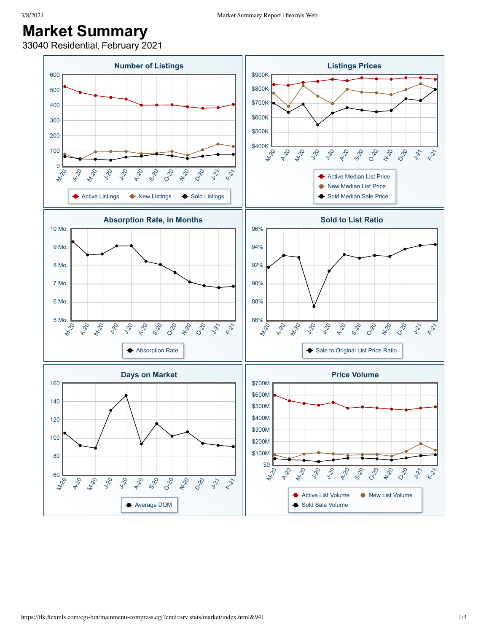## **Market Summary**

33040 Residential, February 2021

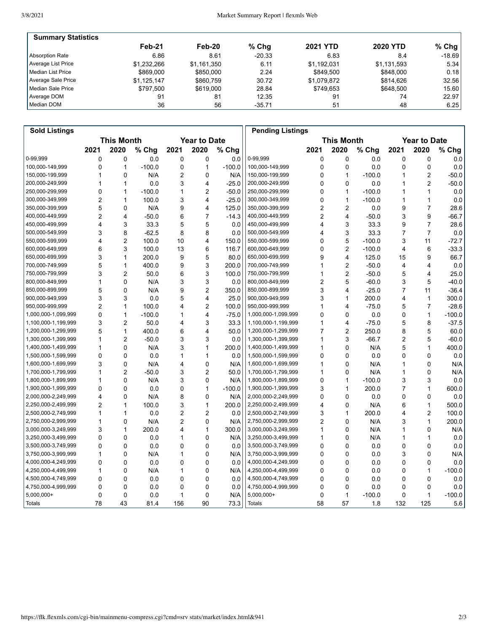| <b>Summary Statistics</b> |             |             |          |                 |                 |           |
|---------------------------|-------------|-------------|----------|-----------------|-----------------|-----------|
|                           | Feb-21      | Feb-20      | $%$ Chg  | <b>2021 YTD</b> | <b>2020 YTD</b> | % Chg $ $ |
| Absorption Rate           | 6.86        | 8.61        | $-20.33$ | 6.83            | 8.4             | $-18.69$  |
| Average List Price        | \$1.232.266 | \$1,161,350 | 6.11     | \$1,192,031     | \$1,131,593     | 5.34      |
| l Median List Price       | \$869,000   | \$850,000   | 2.24     | \$849.500       | \$848,000       | 0.18      |
| Average Sale Price        | \$1.125.147 | \$860.759   | 30.72    | \$1,079,872     | \$814.626       | 32.56     |
| Median Sale Price         | \$797.500   | \$619,000   | 28.84    | \$749.653       | \$648,500       | 15.60     |
| Average DOM               | 91          | 81          | 12.35    | 91              | 74              | 22.97     |
| Median DOM                | 36          | 56          | $-35.71$ | 51              | 48              | 6.25      |

| <b>Sold Listings</b> |                                          |                |          |                |                   |          | <b>Pending Listings</b> |                |                         |          |                |                |          |
|----------------------|------------------------------------------|----------------|----------|----------------|-------------------|----------|-------------------------|----------------|-------------------------|----------|----------------|----------------|----------|
|                      | <b>This Month</b><br><b>Year to Date</b> |                |          |                | <b>This Month</b> |          |                         |                | <b>Year to Date</b>     |          |                |                |          |
|                      | 2021                                     | 2020           | % Chg    | 2021           | 2020              | % Chg    |                         | 2021           | 2020                    | % Chg    | 2021           | 2020           | % Chg    |
| 0-99.999             | 0                                        | 0              | 0.0      | 0              | 0                 | 0.0      | 0-99,999                | 0              | 0                       | 0.0      | 0              | 0              | 0.0      |
| 100,000-149,999      | 0                                        | 1              | $-100.0$ | 0              | $\mathbf{1}$      | $-100.0$ | 100,000-149,999         | 0              | 0                       | 0.0      | 0              | 0              | 0.0      |
| 150,000-199,999      | 1                                        | $\Omega$       | N/A      | 2              | 0                 | N/A      | 150,000-199,999         | 0              | 1                       | $-100.0$ | 1              | 2              | $-50.0$  |
| 200,000-249,999      | 1                                        | $\mathbf{1}$   | 0.0      | 3              | 4                 | $-25.0$  | 200,000-249,999         | 0              | 0                       | 0.0      | 1              | $\overline{2}$ | $-50.0$  |
| 250,000-299,999      | 0                                        | 1              | $-100.0$ | 1              | $\overline{2}$    | $-50.0$  | 250,000-299,999         | 0              | 1                       | $-100.0$ | 1              | 1              | 0.0      |
| 300,000-349,999      | $\overline{c}$                           | 1              | 100.0    | 3              | $\overline{4}$    | $-25.0$  | 300,000-349,999         | $\Omega$       | 1                       | $-100.0$ | 1              | $\mathbf{1}$   | 0.0      |
| 350,000-399,999      | 5                                        | 0              | N/A      | 9              | $\overline{4}$    | 125.0    | 350,000-399,999         | 2              | $\overline{c}$          | 0.0      | 9              | $\overline{7}$ | 28.6     |
| 400,000-449,999      | 2                                        | 4              | $-50.0$  | 6              | $\overline{7}$    | $-14.3$  | 400,000-449,999         | 2              | $\overline{\mathbf{4}}$ | $-50.0$  | 3              | 9              | $-66.7$  |
| 450,000-499,999      | 4                                        | 3              | 33.3     | 5              | 5                 | 0.0      | 450,000-499,999         | 4              | 3                       | 33.3     | 9              | $\overline{7}$ | 28.6     |
| 500,000-549,999      | 3                                        | 8              | $-62.5$  | 8              | 8                 | 0.0      | 500,000-549,999         | 4              | 3                       | 33.3     | $\overline{7}$ | $\overline{7}$ | 0.0      |
| 550,000-599,999      | 4                                        | 2              | 100.0    | 10             | $\overline{4}$    | 150.0    | 550,000-599,999         | 0              | 5                       | $-100.0$ | 3              | 11             | $-72.7$  |
| 600,000-649,999      | 6                                        | 3              | 100.0    | 13             | 6                 | 116.7    | 600,000-649,999         | 0              | $\overline{2}$          | $-100.0$ | 4              | 6              | $-33.3$  |
| 650,000-699,999      | 3                                        | $\mathbf{1}$   | 200.0    | 9              | 5                 | 80.0     | 650,000-699,999         | 9              | 4                       | 125.0    | 15             | 9              | 66.7     |
| 700,000-749,999      | 5                                        | 1              | 400.0    | 9              | 3                 | 200.0    | 700,000-749,999         | 1              | $\overline{2}$          | $-50.0$  | 4              | 4              | 0.0      |
| 750,000-799,999      | 3                                        | $\overline{2}$ | 50.0     | 6              | 3                 | 100.0    | 750,000-799,999         | 1              | $\overline{2}$          | $-50.0$  | 5              | 4              | 25.0     |
| 800,000-849,999      | 1                                        | $\mathbf{0}$   | N/A      | 3              | 3                 | 0.0      | 800,000-849,999         | 2              | 5                       | $-60.0$  | 3              | 5              | $-40.0$  |
| 850,000-899,999      | 5                                        | $\mathbf{0}$   | N/A      | 9              | $\overline{2}$    | 350.0    | 850,000-899,999         | 3              | 4                       | $-25.0$  | $\overline{7}$ | 11             | $-36.4$  |
| 900,000-949,999      | 3                                        | 3              | 0.0      | 5              | $\overline{4}$    | 25.0     | 900,000-949,999         | 3              | 1                       | 200.0    | 4              | 1              | 300.0    |
| 950,000-999,999      | $\overline{2}$                           | $\mathbf{1}$   | 100.0    | 4              | $\overline{2}$    | 100.0    | 950,000-999,999         | 1              | 4                       | $-75.0$  | 5              | $\overline{7}$ | $-28.6$  |
| 1,000,000-1,099,999  | 0                                        | 1              | $-100.0$ | 1              | $\overline{4}$    | $-75.0$  | 1,000,000-1,099,999     | 0              | 0                       | 0.0      | 0              | $\mathbf{1}$   | $-100.0$ |
| 1,100,000-1,199,999  | 3                                        | 2              | 50.0     | 4              | 3                 | 33.3     | 1,100,000-1,199,999     | 1              | 4                       | $-75.0$  | 5              | 8              | $-37.5$  |
| 1,200,000-1,299,999  | 5                                        | $\mathbf{1}$   | 400.0    | 6              | $\overline{4}$    | 50.0     | 1,200,000-1,299,999     | $\overline{7}$ | $\overline{2}$          | 250.0    | 8              | 5              | 60.0     |
| 1,300,000-1,399,999  | 1                                        | 2              | $-50.0$  | 3              | 3                 | 0.0      | 1,300,000-1,399,999     | 1              | 3                       | $-66.7$  | 2              | 5              | $-60.0$  |
| 1,400,000-1,499,999  | 1                                        | $\Omega$       | N/A      | 3              | $\mathbf{1}$      | 200.0    | 1,400,000-1,499,999     | 1              | 0                       | N/A      | 5              | $\mathbf{1}$   | 400.0    |
| 1,500,000-1,599,999  | 0                                        | $\Omega$       | 0.0      | 1              | $\mathbf{1}$      | 0.0      | 1,500,000-1,599,999     | 0              | 0                       | 0.0      | 0              | 0              | 0.0      |
| 1,600,000-1,699,999  | 3                                        | 0              | N/A      | 4              | $\mathbf 0$       | N/A      | 1,600,000-1,699,999     | 1              | 0                       | N/A      | 1              | 0              | N/A      |
| 1,700,000-1,799,999  | 1                                        | $\overline{2}$ | $-50.0$  | 3              | $\overline{2}$    | 50.0     | 1,700,000-1,799,999     | 1              | $\mathbf 0$             | N/A      | 1              | $\mathbf 0$    | N/A      |
| 1,800,000-1,899,999  | 1                                        | 0              | N/A      | 3              | 0                 | N/A      | 1,800,000-1,899,999     | 0              | 1                       | $-100.0$ | 3              | 3              | 0.0      |
| 1,900,000-1,999,999  | 0                                        | $\Omega$       | 0.0      | 0              | $\mathbf{1}$      | $-100.0$ | 1,900,000-1,999,999     | 3              | 1                       | 200.0    | 7              | $\mathbf{1}$   | 600.0    |
| 2,000,000-2,249,999  | 4                                        | 0              | N/A      | 8              | 0                 | N/A      | 2,000,000-2,249,999     | 0              | 0                       | 0.0      | 0              | 0              | 0.0      |
| 2,250,000-2,499,999  | 2                                        | 1              | 100.0    | 3              | $\mathbf{1}$      | 200.0    | 2,250,000-2,499,999     | 4              | 0                       | N/A      | 6              | 1              | 500.0    |
| 2,500,000-2,749,999  | 1                                        | 1              | 0.0      | 2              | $\overline{2}$    | 0.0      | 2,500,000-2,749,999     | 3              | 1                       | 200.0    | 4              | $\overline{c}$ | 100.0    |
| 2,750,000-2,999,999  | 1                                        | 0              | N/A      | $\overline{2}$ | 0                 | N/A      | 2,750,000-2,999,999     | 2              | 0                       | N/A      | 3              | $\mathbf{1}$   | 200.0    |
| 3,000,000-3,249,999  | 3                                        | 1              | 200.0    | 4              | $\mathbf{1}$      | 300.0    | 3,000,000-3,249,999     | 1              | 0                       | N/A      | 1              | 0              | N/A      |
| 3,250,000-3,499,999  | 0                                        | 0              | 0.0      | 1              | 0                 | N/A      | 3,250,000-3,499,999     | 1              | 0                       | N/A      | 1              | $\mathbf{1}$   | 0.0      |
| 3,500,000-3,749,999  | 0                                        | 0              | 0.0      | 0              | 0                 | 0.0      | 3,500,000-3,749,999     | 0              | 0                       | 0.0      | 0              | 0              | 0.0      |
| 3,750,000-3,999,999  | 1                                        | 0              | N/A      | $\mathbf{1}$   | $\mathbf 0$       | N/A      | 3,750,000-3,999,999     | 0              | 0                       | 0.0      | 3              | 0              | N/A      |
| 4,000,000-4,249,999  | 0                                        | 0              | 0.0      | 0              | $\mathbf 0$       | 0.0      | 4,000,000-4,249,999     | 0              | 0                       | 0.0      | 0              | 0              | 0.0      |
| 4,250,000-4,499,999  | 1                                        | 0              | N/A      | 1              | 0                 | N/A      | 4,250,000-4,499,999     | 0              | 0                       | 0.0      | 0              | $\mathbf{1}$   | $-100.0$ |
| 4,500,000-4,749,999  | 0                                        | $\mathbf{0}$   | 0.0      | 0              | $\mathbf 0$       | 0.0      | 4,500,000-4,749,999     | 0              | 0                       | 0.0      | 0              | 0              | 0.0      |
| 4,750,000-4,999,999  | 0                                        | 0              | 0.0      | 0              | 0                 | 0.0      | 4,750,000-4,999,999     | 0              | 0                       | 0.0      | 0              | 0              | 0.0      |
| $5,000,000+$         | 0                                        | 0              | 0.0      | 1              | $\mathbf 0$       | N/A      | 5,000,000+              | 0              | 1                       | $-100.0$ | 0              | $\mathbf{1}$   | $-100.0$ |
| Totals               | 78                                       | 43             |          |                | 90                | 73.3     | <b>Totals</b>           | 58             | 57                      | 1.8      | 132            |                | 5.6      |
|                      |                                          |                | 81.4     | 156            |                   |          |                         |                |                         |          |                | 125            |          |